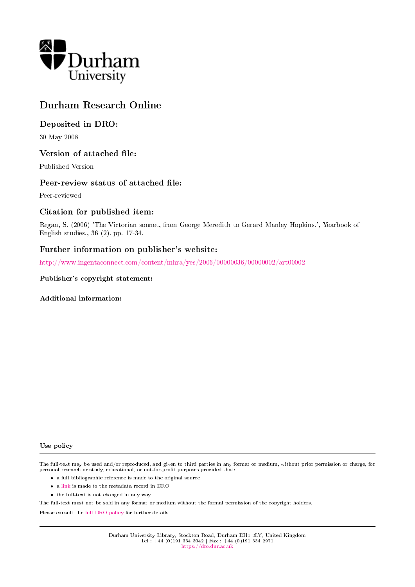

## Durham Research Online

## Deposited in DRO:

30 May 2008

## Version of attached file:

Published Version

### Peer-review status of attached file:

Peer-reviewed

## Citation for published item:

Regan, S. (2006) 'The Victorian sonnet, from George Meredith to Gerard Manley Hopkins.', Yearbook of English studies., 36 (2). pp. 17-34.

## Further information on publisher's website:

<http://www.ingentaconnect.com/content/mhra/yes/2006/00000036/00000002/art00002>

#### Publisher's copyright statement:

Additional information:

#### Use policy

The full-text may be used and/or reproduced, and given to third parties in any format or medium, without prior permission or charge, for personal research or study, educational, or not-for-profit purposes provided that:

- a full bibliographic reference is made to the original source
- a [link](http://dro.dur.ac.uk/964/) is made to the metadata record in DRO
- the full-text is not changed in any way

The full-text must not be sold in any format or medium without the formal permission of the copyright holders.

Please consult the [full DRO policy](https://dro.dur.ac.uk/policies/usepolicy.pdf) for further details.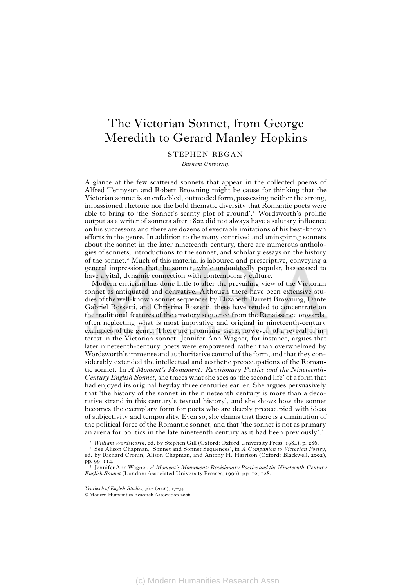# The Victorian Sonnet, from George Meredith to Gerard Manley Hopkins

STEPHEN REGAN

*Durham University*

A glance at the few scattered sonnets that appear in the collected poems of Alfred Tennyson and Robert Browning might be cause for thinking that the Victorian sonnet is an enfeebled, outmoded form, possessing neither the strong, impassioned rhetoric nor the bold thematic diversity that Romantic poets were able to bring to 'the Sonnet's scanty plot of ground'.<sup>1</sup> Wordsworth's prolific output as a writer of sonnets after 1802 did not always have a salutary influence on his successors and there are dozens of execrable imitations of his best-known efforts in the genre. In addition to the many contrived and uninspiring sonnets about the sonnet in the later nineteenth century, there are numerous anthologies of sonnets, introductions to the sonnet, and scholarly essays on the history of the sonnet.<sup>2</sup> Much of this material is laboured and prescriptive, conveying a general impression that the sonnet, while undoubtedly popular, has ceased to have a vital, dynamic connection with contemporary culture.

Modern criticism has done little to alter the prevailing view of the Victorian sonnet as antiquated and derivative. Although there have been extensive studies of the well-known sonnet sequences by Elizabeth Barrett Browning, Dante Gabriel Rossetti, and Christina Rossetti, these have tended to concentrate on the traditional features of the amatory sequence from the Renaissance onwards, often neglecting what is most innovative and original in nineteenth-century examples of the genre. There are promising signs, however, of a revival of interest in the Victorian sonnet. Jennifer Ann Wagner, for instance, argues that later nineteenth-century poets were empowered rather than overwhelmed by Wordsworth's immense and authoritative control of the form, and that they considerably extended the intellectual and aesthetic preoccupations of the Romantic sonnet. In *A Moment's Monument: Revisionary Poetics and the Nineteenth-Century English Sonnet*, she traces what she sees as 'the second life' of a form that had enjoyed its original heyday three centuries earlier. She argues persuasively that 'the history of the sonnet in the nineteenth century is more than a decorative strand in this century's textual history', and she shows how the sonnet becomes the exemplary form for poets who are deeply preoccupied with ideas of subjectivity and temporality. Even so, she claims that there is a diminution of the political force of the Romantic sonnet, and that 'the sonnet is not as primary an arena for politics in the late nineteenth century as it had been previously'.

*William Wordsworth*, ed. by Stephen Gill (Oxford: Oxford University Press, 1984), p. 286.

- See Alison Chapman, 'Sonnet and Sonnet Sequences', in *A Companion to Victorian Poetry*, ed. by Richard Cronin, Alison Chapman, and Antony H. Harrison (Oxford: Blackwell, 2002), pp. 99–114.

 Jennifer Ann Wagner, *A Moment's Monument: Revisionary Poetics and the Nineteenth-Century English Sonnet* (London: Associated University Presses, 1996), pp. 12, 128.

*Yearbook of English Studies*, 36.2 (2006), 17–34

ã Modern Humanities Research Association 2006

(c) Modern Humanities Research Assn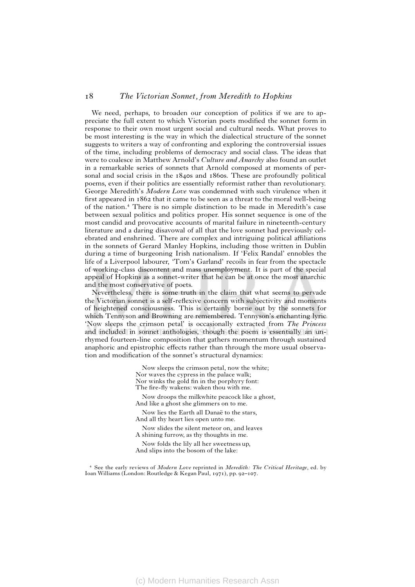We need, perhaps, to broaden our conception of politics if we are to appreciate the full extent to which Victorian poets modified the sonnet form in response to their own most urgent social and cultural needs. What proves to be most interesting is the way in which the dialectical structure of the sonnet suggests to writers a way of confronting and exploring the controversial issues of the time, including problems of democracy and social class. The ideas that were to coalesce in Matthew Arnold's *Culture and Anarchy* also found an outlet in a remarkable series of sonnets that Arnold composed at moments of personal and social crisis in the 1840s and 1860s. These are profoundly political poems, even if their politics are essentially reformist rather than revolutionary. George Meredith's *Modern Love* was condemned with such virulence when it first appeared in 1862 that it came to be seen as a threat to the moral well-being of the nation. There is no simple distinction to be made in Meredith's case between sexual politics and politics proper. His sonnet sequence is one of the most candid and provocative accounts of marital failure in nineteenth-century literature and a daring disavowal of all that the love sonnet had previously celebrated and enshrined. There are complex and intriguing political a¶liations in the sonnets of Gerard Manley Hopkins, including those written in Dublin during a time of burgeoning Irish nationalism. If 'Felix Randal' ennobles the life of a Liverpool labourer, 'Tom's Garland' recoils in fear from the spectacle of working-class discontent and mass unemployment. It is part of the special appeal of Hopkins as a sonnet-writer that he can be at once the most anarchic and the most conservative of poets.

Nevertheless, there is some truth in the claim that what seems to pervade the Victorian sonnet is a self-reflexive concern with subjectivity and moments of heightened consciousness. This is certainly borne out by the sonnets for which Tennyson and Browning are remembered. Tennyson's enchanting lyric 'Now sleeps the crimson petal' is occasionally extracted from *The Princess* and included in sonnet anthologies, though the poem is essentially an unrhymed fourteen-line composition that gathers momentum through sustained anaphoric and epistrophic effects rather than through the more usual observation and modification of the sonnet's structural dynamics:

> Now sleeps the crimson petal, now the white; Nor waves the cypress in the palace walk; Nor winks the gold fin in the porphyry font: The fire-fly wakens: waken thou with me.

Now droops the milkwhite peacock like a ghost, And like a ghost she glimmers on to me.

Now lies the Earth all Danaë to the stars, And all thy heart lies open unto me.

Now slides the silent meteor on, and leaves A shining furrow, as thy thoughts in me.

Now folds the lily all her sweetness up, And slips into the bosom of the lake:

 See the early reviews of *Modern Love* reprinted in *Meredith: The Critical Heritage*, ed. by Ioan Williams (London: Routledge @ Kegan Paul, 1971), pp. 92–107.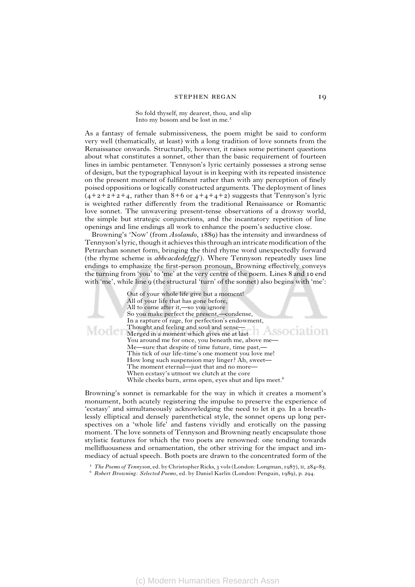#### stephen regan 19

So fold thyself, my dearest, thou, and slip Into my bosom and be lost in me.

As a fantasy of female submissiveness, the poem might be said to conform very well (thematically, at least) with a long tradition of love sonnets from the Renaissance onwards. Structurally, however, it raises some pertinent questions about what constitutes a sonnet, other than the basic requirement of fourteen lines in iambic pentameter. Tennyson's lyric certainly possesses a strong sense of design, but the typographical layout is in keeping with its repeated insistence on the present moment of fulfilment rather than with any perception of finely poised oppositions or logically constructed arguments. The deployment of lines  $(4+2+2+2+4$ , rather than  $8+6$  or  $4+4+4+2$ ) suggests that Tennyson's lyric is weighted rather differently from the traditional Renaissance or Romantic love sonnet. The unwavering present-tense observations of a drowsy world, the simple but strategic conjunctions, and the incantatory repetition of line openings and line endings all work to enhance the poem's seductive close.

Browning's 'Now' (from *Asolando*, 1889) has the intensity and inwardness of Tennyson's lyric, though it achieves this through an intricate modification of the Petrarchan sonnet form, bringing the third rhyme word unexpectedly forward (the rhyme scheme is *abbcacdedefggf )*. Where Tennyson repeatedly uses line endings to emphasize the first-person pronoun, Browning effectively conveys the turning from 'you' to 'me' at the very centre of the poem. Lines 8 and 10 end with 'me', while line 9 (the structural 'turn' of the sonnet) also begins with 'me':

Out of your whole life give but a moment! All of your life that has gone before, All to come after it,—so you ignore So you make perfect the present,—condense, In a rapture of rage, for perfection's endowment, Thought and feeling and soul and sense— MCCC Regred in a moment which gives me at last ASSOCIALION You around me for once, you beneath me, above me— Me—sure that despite of time future, time past,— This tick of our life-time's one moment you love me! How long such suspension may linger? Ah, sweet— The moment eternal—just that and no more— When ecstasy's utmost we clutch at the core While cheeks burn, arms open, eyes shut and lips meet.<sup>6</sup>

Browning's sonnet is remarkable for the way in which it creates a moment's monument, both acutely registering the impulse to preserve the experience of 'ecstasy' and simultaneously acknowledging the need to let it go. In a breathlessly elliptical and densely parenthetical style, the sonnet opens up long perspectives on a 'whole life' and fastens vividly and erotically on the passing moment. The love sonnets of Tennyson and Browning neatly encapsulate those stylistic features for which the two poets are renowned: one tending towards mellifluousness and ornamentation, the other striving for the impact and immediacy of actual speech. Both poets are drawn to the concentrated form of the

<sup>&</sup>lt;sup>5</sup> The Poems of Tennyson, ed. by Christopher Ricks, 3 vols (London: Longman, 1987), II, 284-85.

*Robert Browning: Selected Poems*, ed. by Daniel Karlin (London: Penguin, 1989), p. 294.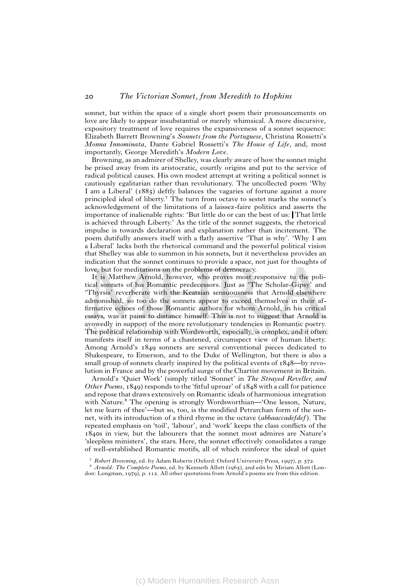sonnet, but within the space of a single short poem their pronouncements on love are likely to appear insubstantial or merely whimsical. A more discursive, expository treatment of love requires the expansiveness of a sonnet sequence: Elizabeth Barrett Browning's *Sonnets from the Portuguese*, Christina Rossetti's *Monna Innominata*, Dante Gabriel Rossetti's *The House of Life*, and, most importantly, George Meredith's *Modern Love*.

Browning, as an admirer of Shelley, was clearly aware of how the sonnet might be prised away from its aristocratic, courtly origins and put to the service of radical political causes. His own modest attempt at writing a political sonnet is cautiously egalitarian rather than revolutionary. The uncollected poem 'Why I am a Liberal' (1885) deftly balances the vagaries of fortune against a more principled ideal of liberty.<sup>7</sup> The turn from octave to sestet marks the sonnet's acknowledgement of the limitations of a laissez-faire politics and asserts the importance of inalienable rights: 'But little do or can the best of us: That little is achieved through Liberty.' As the title of the sonnet suggests, the rhetorical impulse is towards declaration and explanation rather than incitement. The poem dutifully answers itself with a flatly assertive 'That is why'. 'Why I am a Liberal' lacks both the rhetorical command and the powerful political vision that Shelley was able to summon in his sonnets, but it nevertheless provides an indication that the sonnet continues to provide a space, not just for thoughts of love, but for meditations on the problems of democracy.

It is Matthew Arnold, however, who proves most responsive to the political sonnets of his Romantic predecessors. Just as 'The Scholar-Gipsy' and 'Thyrsis' reverberate with the Keatsian sensuousness that Arnold elsewhere admonished, so too do the sonnets appear to exceed themselves in their affirmative echoes of those Romantic authors for whom Arnold, in his critical essays, was at pains to distance himself. This is not to suggest that Arnold is avowedly in support of the more revolutionary tendencies in Romantic poetry. The political relationship with Wordsworth, especially, is complex, and it often manifests itself in terms of a chastened, circumspect view of human liberty. Among Arnold's 1849 sonnets are several conventional pieces dedicated to Shakespeare, to Emerson, and to the Duke of Wellington, but there is also a small group of sonnets clearly inspired by the political events of 1848—by revolution in France and by the powerful surge of the Chartist movement in Britain.

Arnold's 'Quiet Work' (simply titled 'Sonnet' in *The Strayed Reveller, and Other Poems*, 1849) responds to the 'fitful uproar' of 1848 with a call for patience and repose that draws extensively on Romantic ideals of harmonious integration with Nature.<sup>8</sup> The opening is strongly Wordsworthian—'One lesson, Nature, let me learn of thee'—but so, too, is the modified Petrarchan form of the sonnet, with its introduction of a third rhyme in the octave *(abbaaccadefdef )*. The repeated emphasis on 'toil', 'labour', and 'work' keeps the class conflicts of the 1840s in view, but the labourers that the sonnet most admires are Nature's 'sleepless ministers', the stars. Here, the sonnet effectively consolidates a range of well-established Romantic motifs, all of which reinforce the ideal of quiet

*Robert Browning*, ed. by Adam Roberts (Oxford: Oxford University Press, 1997), p. 572.

*Arnold: The Complete Poems*, ed. by Kenneth Allott (1965), 2nd edn by Miriam Allott (London: Longman, 1979), p. 112. All other quotations from Arnold's poems are from this edition.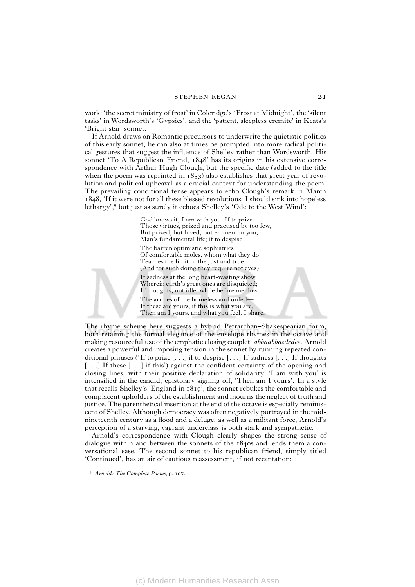work: 'the secret ministry of frost' in Coleridge's 'Frost at Midnight', the 'silent tasks' in Wordsworth's 'Gypsies', and the 'patient, sleepless eremite' in Keats's 'Bright star' sonnet.

If Arnold draws on Romantic precursors to underwrite the quietistic politics of this early sonnet, he can also at times be prompted into more radical political gestures that suggest the influence of Shelley rather than Wordsworth. His sonnet 'To A Republican Friend, 1848' has its origins in his extensive correspondence with Arthur Hugh Clough, but the specific date (added to the title when the poem was reprinted in  $1853$ ) also establishes that great year of revolution and political upheaval as a crucial context for understanding the poem. The prevailing conditional tense appears to echo Clough's remark in March 1848, 'If it were not for all these blessed revolutions, I should sink into hopeless lethargy',<sup>9</sup> but just as surely it echoes Shelley's 'Ode to the West Wind':

> God knows it, I am with you. If to prize Those virtues, prized and practised by too few, But prized, but loved, but eminent in you, Man's fundamental life; if to despise The barren optimistic sophistries Of comfortable moles, whom what they do Teaches the limit of the just and true (And for such doing they require not eyes); If sadness at the long heart-wasting show Wherein earth's great ones are disquieted; If thoughts, not idle, while before me flow The armies of the homeless and unfed— If these are yours, if this is what you are, Then am I yours, and what you feel, I share.

The rhyme scheme here suggests a hybrid Petrarchan–Shakespearian form, both retaining the formal elegance of the envelope rhymes in the octave and making resourceful use of the emphatic closing couplet: *abbaabbacdcdee*. Arnold creates a powerful and imposing tension in the sonnet by running repeated conditional phrases ('If to prize  $[\ldots]$  if to despise  $[\ldots]$  If sadness  $[\ldots]$  If thoughts [. . .] If these [. . .] if this') against the confident certainty of the opening and closing lines, with their positive declaration of solidarity. 'I am with you' is intensified in the candid, epistolary signing off, 'Then am I yours'. In a style that recalls Shelley's 'England in 1819', the sonnet rebukes the comfortable and complacent upholders of the establishment and mourns the neglect of truth and justice. The parenthetical insertion at the end of the octave is especially reminiscent of Shelley. Although democracy was often negatively portrayed in the midnineteenth century as a flood and a deluge, as well as a militant force, Arnold's perception of a starving, vagrant underclass is both stark and sympathetic.

Arnold's correspondence with Clough clearly shapes the strong sense of dialogue within and between the sonnets of the 1840s and lends them a conversational ease. The second sonnet to his republican friend, simply titled 'Continued', has an air of cautious reassessment, if not recantation:

 *Arnold: The Complete Poems*, p. 107.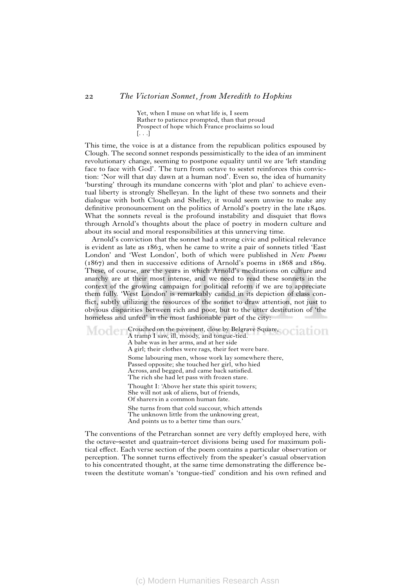Yet, when I muse on what life is, I seem Rather to patience prompted, than that proud Prospect of hope which France proclaims so loud  $[\ldots]$ 

This time, the voice is at a distance from the republican politics espoused by Clough. The second sonnet responds pessimistically to the idea of an imminent revolutionary change, seeming to postpone equality until we are 'left standing face to face with God'. The turn from octave to sestet reinforces this conviction: 'Nor will that day dawn at a human nod'. Even so, the idea of humanity 'bursting' through its mundane concerns with 'plot and plan' to achieve eventual liberty is strongly Shelleyan. In the light of these two sonnets and their dialogue with both Clough and Shelley, it would seem unwise to make any definitive pronouncement on the politics of Arnold's poetry in the late 1840s. What the sonnets reveal is the profound instability and disquiet that flows through Arnold's thoughts about the place of poetry in modern culture and about its social and moral responsibilities at this unnerving time.

Arnold's conviction that the sonnet had a strong civic and political relevance is evident as late as 1863, when he came to write a pair of sonnets titled 'East London' and 'West London', both of which were published in *New Poems* (1867) and then in successive editions of Arnold's poems in 1868 and 1869. These, of course, are the years in which Arnold's meditations on culture and anarchy are at their most intense, and we need to read these sonnets in the context of the growing campaign for political reform if we are to appreciate them fully. 'West London' is remarkably candid in its depiction of class conflict, subtly utilizing the resources of the sonnet to draw attention, not just to obvious disparities between rich and poor, but to the utter destitution of 'the homeless and unfed' in the most fashionable part of the city:

Crouched on the pavement, close by Belgrave Square, Moder A tramp I saw, ill, moody, and tongue-tied. A babe was in her arms, and at her side A girl; their clothes were rags, their feet were bare. Some labouring men, whose work lay somewhere there, Passed opposite; she touched her girl, who hied Across, and begged, and came back satisfied. The rich she had let pass with frozen stare. Thought I: 'Above her state this spirit towers; She will not ask of aliens, but of friends, Of sharers in a common human fate. She turns from that cold succour, which attends The unknown little from the unknowing great, And points us to a better time than ours.

The conventions of the Petrarchan sonnet are very deftly employed here, with the octave–sestet and quatrain–tercet divisions being used for maximum political effect. Each verse section of the poem contains a particular observation or perception. The sonnet turns effectively from the speaker's casual observation to his concentrated thought, at the same time demonstrating the difference between the destitute woman's 'tongue-tied' condition and his own refined and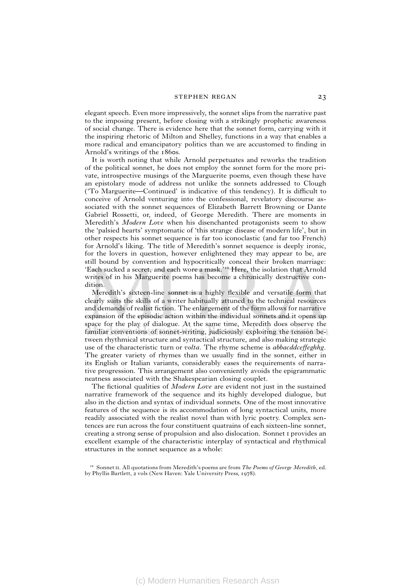#### stephen regan 23

elegant speech. Even more impressively, the sonnet slips from the narrative past to the imposing present, before closing with a strikingly prophetic awareness of social change. There is evidence here that the sonnet form, carrying with it the inspiring rhetoric of Milton and Shelley, functions in a way that enables a more radical and emancipatory politics than we are accustomed to finding in Arnold's writings of the 1860s.

It is worth noting that while Arnold perpetuates and reworks the tradition of the political sonnet, he does not employ the sonnet form for the more private, introspective musings of the Marguerite poems, even though these have an epistolary mode of address not unlike the sonnets addressed to Clough ('To Marguerite—Continued' is indicative of this tendency). It is difficult to conceive of Arnold venturing into the confessional, revelatory discourse associated with the sonnet sequences of Elizabeth Barrett Browning or Dante Gabriel Rossetti, or, indeed, of George Meredith. There are moments in Meredith's *Modern Love* when his disenchanted protagonists seem to show the 'palsied hearts' symptomatic of 'this strange disease of modern life', but in other respects his sonnet sequence is far too iconoclastic (and far too French) for Arnold's liking. The title of Meredith's sonnet sequence is deeply ironic, for the lovers in question, however enlightened they may appear to be, are still bound by convention and hypocritically conceal their broken marriage: 'Each sucked a secret, and each wore a mask.' Here, the isolation that Arnold writes of in his Marguerite poems has become a chronically destructive condition.

Meredith's sixteen-line sonnet is a highly flexible and versatile form that clearly suits the skills of a writer habitually attuned to the technical resources and demands of realist fiction. The enlargement of the form allows for narrative expansion of the episodic action within the individual sonnets and it opens up space for the play of dialogue. At the same time, Meredith does observe the familiar conventions of sonnet-writing, judiciously exploiting the tension between rhythmical structure and syntactical structure, and also making strategic use of the characteristic turn or *volta*. The rhyme scheme is *abbacddceffeghhg*. The greater variety of rhymes than we usually find in the sonnet, either in its English or Italian variants, considerably eases the requirements of narrative progression. This arrangement also conveniently avoids the epigrammatic neatness associated with the Shakespearian closing couplet.

The fictional qualities of *Modern Love* are evident not just in the sustained narrative framework of the sequence and its highly developed dialogue, but also in the diction and syntax of individual sonnets. One of the most innovative features of the sequence is its accommodation of long syntactical units, more readily associated with the realist novel than with lyric poetry. Complex sentences are run across the four constituent quatrains of each sixteen-line sonnet, creating a strong sense of propulsion and also dislocation. Sonnet i provides an excellent example of the characteristic interplay of syntactical and rhythmical structures in the sonnet sequence as a whole:

<sup>&</sup>lt;sup>10</sup> Sonnet II. All quotations from Meredith's poems are from *The Poems of George Meredith*, ed. by Phyllis Bartlett, 2 vols (New Haven: Yale University Press, 1978).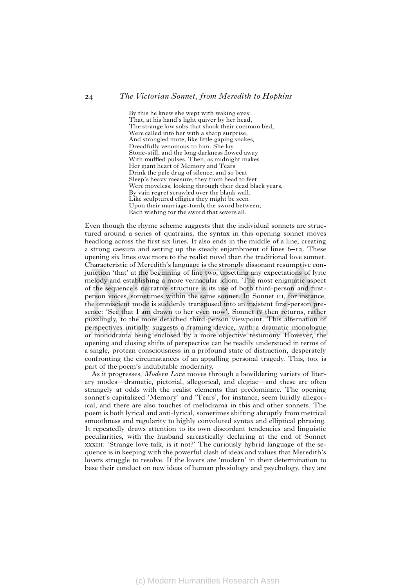By this he knew she wept with waking eyes: That, at his hand's light quiver by her head, The strange low sobs that shook their common bed, Were called into her with a sharp surprise, And strangled mute, like little gaping snakes, Dreadfully venomous to him. She lay Stone-still, and the long darkness flowed away With muffled pulses. Then, as midnight makes Her giant heart of Memory and Tears Drink the pale drug of silence, and so beat Sleep's heavy measure, they from head to feet Were moveless, looking through their dead black years, By vain regret scrawled over the blank wall. Like sculptured effigies they might be seen Upon their marriage-tomb, the sword between; Each wishing for the sword that severs all.

Even though the rhyme scheme suggests that the individual sonnets are structured around a series of quatrains, the syntax in this opening sonnet moves headlong across the first six lines. It also ends in the middle of a line, creating a strong caesura and setting up the steady enjambment of lines 6–12. These opening six lines owe more to the realist novel than the traditional love sonnet. Characteristic of Meredith's language is the strongly dissonant resumptive conjunction 'that' at the beginning of line two, upsetting any expectations of lyric melody and establishing a more vernacular idiom. The most enigmatic aspect of the sequence's narrative structure is its use of both third-person and firstperson voices, sometimes within the same sonnet. In Sonnet III, for instance, the omniscient mode is suddenly transposed into an insistent first-person presence: 'See that I am drawn to her even now'. Sonnet iv then returns, rather puzzlingly, to the more detached third-person viewpoint. This alternation of perspectives initially suggests a framing device, with a dramatic monologue or monodrama being enclosed by a more objective testimony. However, the opening and closing shifts of perspective can be readily understood in terms of a single, protean consciousness in a profound state of distraction, desperately confronting the circumstances of an appalling personal tragedy. This, too, is part of the poem's indubitable modernity.

As it progresses, *Modern Love* moves through a bewildering variety of literary modes—dramatic, pictorial, allegorical, and elegiac—and these are often strangely at odds with the realist elements that predominate. The opening sonnet's capitalized 'Memory' and 'Tears', for instance, seem luridly allegorical, and there are also touches of melodrama in this and other sonnets. The poem is both lyrical and anti-lyrical, sometimes shifting abruptly from metrical smoothness and regularity to highly convoluted syntax and elliptical phrasing. It repeatedly draws attention to its own discordant tendencies and linguistic peculiarities, with the husband sarcastically declaring at the end of Sonnet xxxIII: 'Strange love talk, is it not?' The curiously hybrid language of the sequence is in keeping with the powerful clash of ideas and values that Meredith's lovers struggle to resolve. If the lovers are 'modern' in their determination to base their conduct on new ideas of human physiology and psychology, they are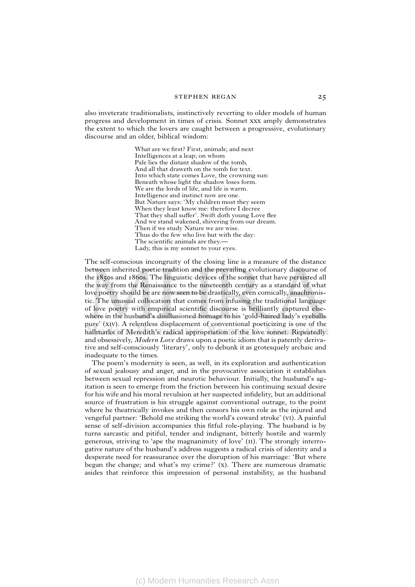also inveterate traditionalists, instinctively reverting to older models of human progress and development in times of crisis. Sonnet xxx amply demonstrates the extent to which the lovers are caught between a progressive, evolutionary discourse and an older, biblical wisdom:

> What are we first? First, animals; and next Intelligences at a leap; on whom Pale lies the distant shadow of the tomb, And all that draweth on the tomb for text. Into which state comes Love, the crowning sun: Beneath whose light the shadow loses form. We are the lords of life, and life is warm. Intelligence and instinct now are one. But Nature says: 'My children most they seem When they least know me: therefore I decree That they shall suffer'. Swift doth young Love flee And we stand wakened, shivering from our dream. Then if we study Nature we are wise. Thus do the few who live but with the day: The scientific animals are they. Lady, this is my sonnet to your eyes.

The self-conscious incongruity of the closing line is a measure of the distance between inherited poetic tradition and the prevailing evolutionary discourse of the 1850s and 1860s. The linguistic devices of the sonnet that have persisted all the way from the Renaissance to the nineteenth century as a standard of what love poetry should be are now seen to be drastically, even comically, anachronistic. The unusual collocation that comes from infusing the traditional language of love poetry with empirical scientific discourse is brilliantly captured elsewhere in the husband's disillusioned homage to his 'gold-haired lady's eyeballs pure' (xiv). A relentless displacement of conventional poeticizing is one of the hallmarks of Meredith's radical appropriation of the love sonnet. Repeatedly and obsessively, *Modern Love* draws upon a poetic idiom that is patently derivative and self-consciously 'literary', only to debunk it as grotesquely archaic and inadequate to the times.

The poem's modernity is seen, as well, in its exploration and authentication of sexual jealousy and anger, and in the provocative association it establishes between sexual repression and neurotic behaviour. Initially, the husband's agitation is seen to emerge from the friction between his continuing sexual desire for his wife and his moral revulsion at her suspected infidelity, but an additional source of frustration is his struggle against conventional outrage, to the point where he theatrically invokes and then censors his own role as the injured and vengeful partner: 'Behold me striking the world's coward stroke' (vi). A painful sense of self-division accompanies this fitful role-playing. The husband is by turns sarcastic and pitiful, tender and indignant, bitterly hostile and warmly generous, striving to 'ape the magnanimity of love' (ii). The strongly interrogative nature of the husband's address suggests a radical crisis of identity and a desperate need for reassurance over the disruption of his marriage: 'But where began the change; and what's my crime?' (x). There are numerous dramatic asides that reinforce this impression of personal instability, as the husband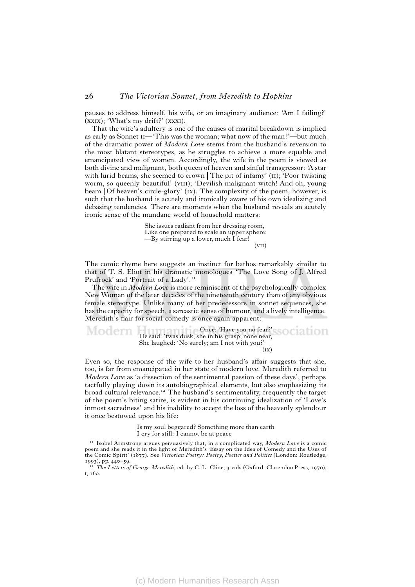pauses to address himself, his wife, or an imaginary audience: 'Am I failing?' (xxix); 'What's my drift?' (xxxi).

That the wife's adultery is one of the causes of marital breakdown is implied as early as Sonnet II—'This was the woman; what now of the man?'—but much of the dramatic power of *Modern Love* stems from the husband's reversion to the most blatant stereotypes, as he struggles to achieve a more equable and emancipated view of women. Accordingly, the wife in the poem is viewed as both divine and malignant, both queen of heaven and sinful transgressor: 'A star with lurid beams, she seemed to crown The pit of infamy' (II); 'Poor twisting worm, so queenly beautiful' (VIII); 'Devilish malignant witch! And oh, young beam | Of heaven's circle-glory' (IX). The complexity of the poem, however, is such that the husband is acutely and ironically aware of his own idealizing and debasing tendencies. There are moments when the husband reveals an acutely ironic sense of the mundane world of household matters:

> She issues radiant from her dressing room, Like one prepared to scale an upper sphere: —By stirring up a lower, much I fear!  $(vii)$

The comic rhyme here suggests an instinct for bathos remarkably similar to that of T. S. Eliot in his dramatic monologues 'The Love Song of J. Alfred Prufrock' and 'Portrait of a Lady'.<sup>11</sup>

The wife in *Modern Love* is more reminiscent of the psychologically complex New Woman of the later decades of the nineteenth century than of any obvious female stereotype. Unlike many of her predecessors in sonnet sequences, she has the capacity for speech, a sarcastic sense of humour, and a lively intelligence. Meredith's flair for social comedy is once again apparent:

Modern Once: 'Have you no fear?' He said: 'twas dusk, she in his grasp; none near, She laughed: 'No surely; am I not with you?'  $(\mathbf{I}\mathbf{x})$ 

Even so, the response of the wife to her husband's affair suggests that she, too, is far from emancipated in her state of modern love. Meredith referred to *Modern Love* as 'a dissection of the sentimental passion of these days', perhaps tactfully playing down its autobiographical elements, but also emphasizing its broad cultural relevance.<sup>12</sup> The husband's sentimentality, frequently the target of the poem's biting satire, is evident in his continuing idealization of 'Love's inmost sacredness' and his inability to accept the loss of the heavenly splendour it once bestowed upon his life:

> Is my soul beggared? Something more than earth I cry for still: I cannot be at peace

<sup>&</sup>lt;sup>11</sup> Isobel Armstrong argues persuasively that, in a complicated way, *Modern Love* is a comic poem and she reads it in the light of Meredith's 'Essay on the Idea of Comedy and the Uses of the Comic Spirit' (1877). See *Victorian Poetry: Poetry, Poetics and Politics* (London: Routledge, 1993), pp. 440–59.

<sup>&</sup>lt;sup>12</sup> The Letters of George Meredith, ed. by C. L. Cline, 3 vols (Oxford: Clarendon Press, 1970), i, 160.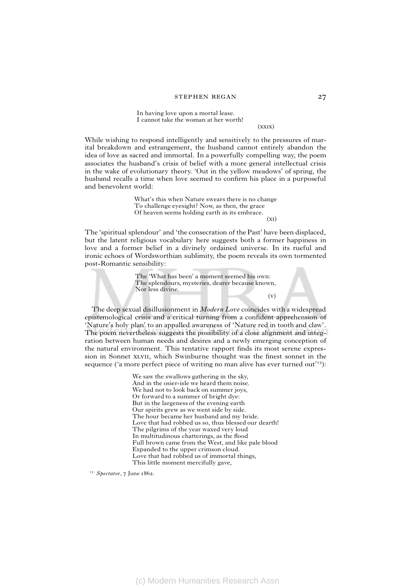In having love upon a mortal lease. I cannot take the woman at her worth!

(xxix)

While wishing to respond intelligently and sensitively to the pressures of marital breakdown and estrangement, the husband cannot entirely abandon the idea of love as sacred and immortal. In a powerfully compelling way, the poem associates the husband's crisis of belief with a more general intellectual crisis in the wake of evolutionary theory. 'Out in the yellow meadows' of spring, the husband recalls a time when love seemed to confirm his place in a purposeful and benevolent world:

> What's this when Nature swears there is no change To challenge eyesight? Now, as then, the grace Of heaven seems holding earth in its embrace.

 $(x<sub>I</sub>)$ 

 $(v)$ 

The 'spiritual splendour' and 'the consecration of the Past' have been displaced, but the latent religious vocabulary here suggests both a former happiness in love and a former belief in a divinely ordained universe. In its rueful and ironic echoes of Wordsworthian sublimity, the poem reveals its own tormented post-Romantic sensibility:

> The 'What has been' a moment seemed his own: The splendours, mysteries, dearer because known, Nor less divine.

The deep sexual disillusionment in *Modern Love* coincides with a widespread epistemological crisis and a critical turning from a confident apprehension of 'Nature's holy plan' to an appalled awareness of 'Nature red in tooth and claw'. The poem nevertheless suggests the possibility of a close alignment and integration between human needs and desires and a newly emerging conception of the natural environment. This tentative rapport finds its most serene expression in Sonnet xlvii, which Swinburne thought was the finest sonnet in the sequence ( $a$  more perfect piece of writing no man alive has ever turned out<sup> $13$ </sup>):

> We saw the swallows gathering in the sky, And in the osier-isle we heard them noise. We had not to look back on summer joys, Or forward to a summer of bright dye: But in the largeness of the evening earth Our spirits grew as we went side by side. The hour became her husband and my bride. Love that had robbed us so, thus blessed our dearth! The pilgrims of the year waxed very loud In multitudinous chatterings, as the flood Full brown came from the West, and like pale blood Expanded to the upper crimson cloud. Love that had robbed us of immortal things, This little moment mercifully gave,

*Spectator*, 7 June 1862.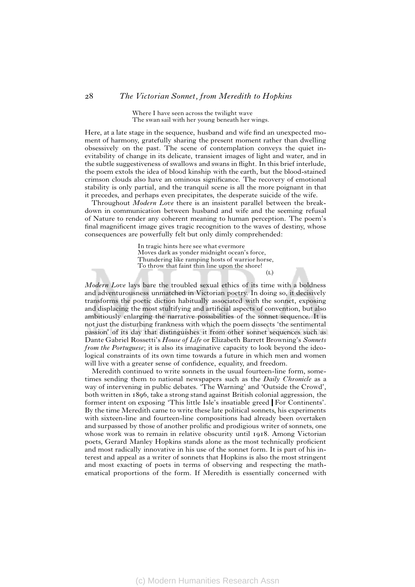Where I have seen across the twilight wave The swan sail with her young beneath her wings.

Here, at a late stage in the sequence, husband and wife find an unexpected moment of harmony, gratefully sharing the present moment rather than dwelling obsessively on the past. The scene of contemplation conveys the quiet inevitability of change in its delicate, transient images of light and water, and in the subtle suggestiveness of swallows and swans in flight. In this brief interlude, the poem extols the idea of blood kinship with the earth, but the blood-stained crimson clouds also have an ominous significance. The recovery of emotional stability is only partial, and the tranquil scene is all the more poignant in that it precedes, and perhaps even precipitates, the desperate suicide of the wife.

Throughout *Modern Love* there is an insistent parallel between the breakdown in communication between husband and wife and the seeming refusal of Nature to render any coherent meaning to human perception. The poem's final magnificent image gives tragic recognition to the waves of destiny, whose consequences are powerfully felt but only dimly comprehended:

> In tragic hints here see what evermore Moves dark as yonder midnight ocean's force, Thundering like ramping hosts of warrior horse, To throw that faint thin line upon the shore!  $(1)$

*Modern Love* lays bare the troubled sexual ethics of its time with a boldness and adventurousness unmatched in Victorian poetry. In doing so, it decisively transforms the poetic diction habitually associated with the sonnet, exposing and displacing the most stultifying and artificial aspects of convention, but also ambitiously enlarging the narrative possibilities of the sonnet sequence. It is not just the disturbing frankness with which the poem dissects 'the sentimental passion' of its day that distinguishes it from other sonnet sequences such as Dante Gabriel Rossetti's *House of Life* or Elizabeth Barrett Browning's *Sonnets from the Portuguese*; it is also its imaginative capacity to look beyond the ideological constraints of its own time towards a future in which men and women will live with a greater sense of confidence, equality, and freedom.

Meredith continued to write sonnets in the usual fourteen-line form, sometimes sending them to national newspapers such as the *Daily Chronicle* as a way of intervening in public debates. 'The Warning' and 'Outside the Crowd', both written in 1896, take a strong stand against British colonial aggression, the former intent on exposing 'This little Isle's insatiable greed For Continents'. By the time Meredith came to write these late political sonnets, his experiments with sixteen-line and fourteen-line compositions had already been overtaken and surpassed by those of another prolific and prodigious writer of sonnets, one whose work was to remain in relative obscurity until 1918. Among Victorian poets, Gerard Manley Hopkins stands alone as the most technically proficient and most radically innovative in his use of the sonnet form. It is part of his interest and appeal as a writer of sonnets that Hopkins is also the most stringent and most exacting of poets in terms of observing and respecting the mathematical proportions of the form. If Meredith is essentially concerned with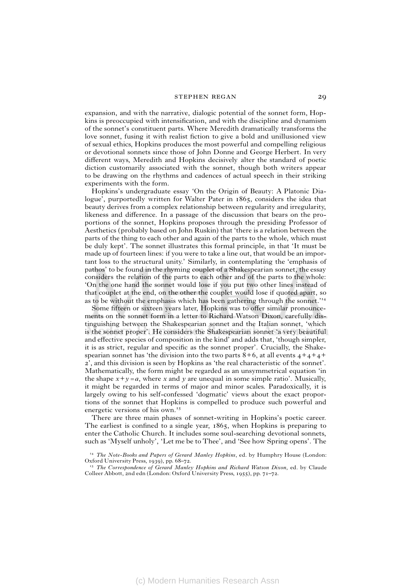#### stephen regan 29

expansion, and with the narrative, dialogic potential of the sonnet form, Hopkins is preoccupied with intensification, and with the discipline and dynamism of the sonnet's constituent parts. Where Meredith dramatically transforms the love sonnet, fusing it with realist fiction to give a bold and unillusioned view of sexual ethics, Hopkins produces the most powerful and compelling religious or devotional sonnets since those of John Donne and George Herbert. In very different ways, Meredith and Hopkins decisively alter the standard of poetic diction customarily associated with the sonnet, though both writers appear to be drawing on the rhythms and cadences of actual speech in their striking experiments with the form.

Hopkins's undergraduate essay 'On the Origin of Beauty: A Platonic Dialogue', purportedly written for Walter Pater in 1865, considers the idea that beauty derives from a complex relationship between regularity and irregularity, likeness and difference. In a passage of the discussion that bears on the proportions of the sonnet, Hopkins proposes through the presiding Professor of Aesthetics (probably based on John Ruskin) that 'there is a relation between the parts of the thing to each other and again of the parts to the whole, which must be duly kept'. The sonnet illustrates this formal principle, in that 'It must be made up of fourteen lines: if you were to take a line out, that would be an important loss to the structural unity.' Similarly, in contemplating the 'emphasis of pathos' to be found in the rhyming couplet of a Shakespearian sonnet, the essay considers the relation of the parts to each other and of the parts to the whole: 'On the one hand the sonnet would lose if you put two other lines instead of that couplet at the end, on the other the couplet would lose if quoted apart, so as to be without the emphasis which has been gathering through the sonnet.'

Some fifteen or sixteen years later, Hopkins was to offer similar pronouncements on the sonnet form in a letter to Richard Watson Dixon, carefully distinguishing between the Shakespearian sonnet and the Italian sonnet, 'which is the sonnet proper'. He considers the Shakespearian sonnet 'a very beautiful and effective species of composition in the kind' and adds that, 'though simpler, it is as strict, regular and specific as the sonnet proper'. Crucially, the Shakespearian sonnet has 'the division into the two parts  $8+6$ , at all events  $4+4+4+$ 2', and this division is seen by Hopkins as 'the real characteristic of the sonnet'. Mathematically, the form might be regarded as an unsymmetrical equation 'in the shape  $x+y=a$ , where x and y are unequal in some simple ratio'. Musically, it might be regarded in terms of major and minor scales. Paradoxically, it is largely owing to his self-confessed 'dogmatic' views about the exact proportions of the sonnet that Hopkins is compelled to produce such powerful and energetic versions of his own.

There are three main phases of sonnet-writing in Hopkins's poetic career. The earliest is confined to a single year, 1865, when Hopkins is preparing to enter the Catholic Church. It includes some soul-searching devotional sonnets, such as 'Myself unholy', 'Let me be to Thee', and 'See how Spring opens'. The

*The Note-Books and Papers of Gerard Manley Hopkins*, ed. by Humphry House (London: Oxford University Press, 1939), pp. 68–72.

*The Correspondence of Gerard Manley Hopkins and Richard Watson Dixon*, ed. by Claude Colleer Abbott, 2nd edn (London: Oxford University Press, 1955), pp. 71–72.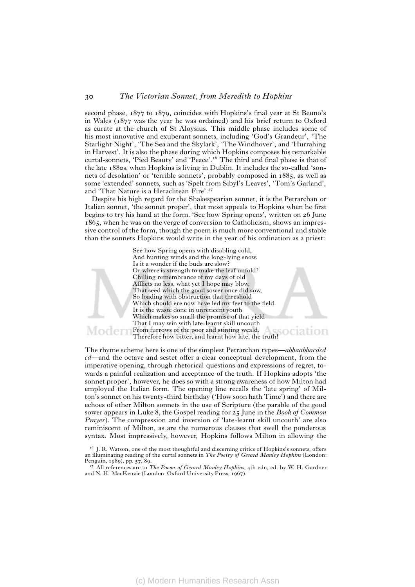second phase, 1877 to 1879, coincides with Hopkins's final year at St Beuno's in Wales (1877 was the year he was ordained) and his brief return to Oxford as curate at the church of St Aloysius. This middle phase includes some of his most innovative and exuberant sonnets, including 'God's Grandeur', 'The Starlight Night', 'The Sea and the Skylark', 'The Windhover', and 'Hurrahing in Harvest'. It is also the phase during which Hopkins composes his remarkable curtal-sonnets, 'Pied Beauty' and 'Peace'.<sup>16</sup> The third and final phase is that of the late 1880s, when Hopkins is living in Dublin. It includes the so-called 'sonnets of desolation' or 'terrible sonnets', probably composed in 1885, as well as some 'extended' sonnets, such as 'Spelt from Sibyl's Leaves', 'Tom's Garland', and 'That Nature is a Heraclitean Fire'.

Despite his high regard for the Shakespearian sonnet, it is the Petrarchan or Italian sonnet, 'the sonnet proper', that most appeals to Hopkins when he first begins to try his hand at the form. 'See how Spring opens', written on 26 June 1865, when he was on the verge of conversion to Catholicism, shows an impressive control of the form, though the poem is much more conventional and stable than the sonnets Hopkins would write in the year of his ordination as a priest:

> See how Spring opens with disabling cold, And hunting winds and the long-lying snow. Is it a wonder if the buds are slow? Or where is strength to make the leaf unfold? Chilling remembrance of my days of old Afflicts no less, what yet I hope may blow, That seed which the good sower once did sow, So loading with obstruction that threshold Which should ere now have led my feet to the field. It is the waste done in unreticent youth Which makes so small the promise of that yield That I may win with late-learnt skill uncouth From furrows of the poor and stinting weald. ociation Therefore how bitter, and learnt how late, the truth!

The rhyme scheme here is one of the simplest Petrarchan types—*abbaabbacdcd cd*—and the octave and sestet offer a clear conceptual development, from the imperative opening, through rhetorical questions and expressions of regret, towards a painful realization and acceptance of the truth. If Hopkins adopts 'the sonnet proper', however, he does so with a strong awareness of how Milton had employed the Italian form. The opening line recalls the 'late spring' of Milton's sonnet on his twenty-third birthday ('How soon hath Time') and there are echoes of other Milton sonnets in the use of Scripture (the parable of the good sower appears in Luke 8, the Gospel reading for 25 June in the *Book of Common Prayer*). The compression and inversion of 'late-learnt skill uncouth' are also reminiscent of Milton, as are the numerous clauses that swell the ponderous syntax. Most impressively, however, Hopkins follows Milton in allowing the

Moder

(c) Modern Humanities Research Assn

<sup>&</sup>lt;sup>16</sup> J. R. Watson, one of the most thoughtful and discerning critics of Hopkins's sonnets, offers an illuminating reading of the curtal sonnets in *The Poetry of Gerard Manley Hopkins* (London: Penguin, 1989), pp. 57, 89.

All references are to *The Poems of Gerard Manley Hopkins*, 4th edn, ed. by W. H. Gardner and N. H. MacKenzie (London: Oxford University Press, 1967).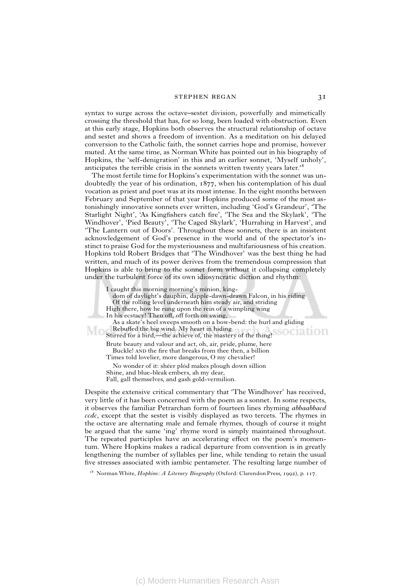#### STEPHEN REGAN 31

syntax to surge across the octave–sestet division, powerfully and mimetically crossing the threshold that has, for so long, been loaded with obstruction. Even at this early stage, Hopkins both observes the structural relationship of octave and sestet and shows a freedom of invention. As a meditation on his delayed conversion to the Catholic faith, the sonnet carries hope and promise, however muted. At the same time, as Norman White has pointed out in his biography of Hopkins, the 'self-denigration' in this and an earlier sonnet, 'Myself unholy', anticipates the terrible crisis in the sonnets written twenty years later.<sup>18</sup>

The most fertile time for Hopkins's experimentation with the sonnet was undoubtedly the year of his ordination, 1877, when his contemplation of his dual vocation as priest and poet was at its most intense. In the eight months between February and September of that year Hopkins produced some of the most astonishingly innovative sonnets ever written, including 'God's Grandeur', 'The Starlight Night', 'As Kingfishers catch fire', 'The Sea and the Skylark', 'The Windhover', 'Pied Beauty', 'The Caged Skylark', 'Hurrahing in Harvest', and 'The Lantern out of Doors'. Throughout these sonnets, there is an insistent acknowledgement of God's presence in the world and of the spectator's instinct to praise God for the mysteriousness and multifariousness of his creation. Hopkins told Robert Bridges that 'The Windhover' was the best thing he had written, and much of its power derives from the tremendous compression that Hopkins is able to bring to the sonnet form without it collapsing completely under the turbulent force of its own idiosyncratic diction and rhythm:

I caught this morning morning's minion, king-

dom of daylight's dauphin, dapple-dawn-drawn Falcon, in his riding

Of the rolling level underneath him steady air, and striding

High there, how he rung upon the rein of a wimpling wing

In his ecstacy! Then off, off forth on swing,

As a skate's heel sweeps smooth on a bow-bend: the hurl and gliding Rebuffed the big wind. My heart in hiding Stirred for a bird,—the achieve of, the mastery of the thing!

Brute beauty and valour and act, oh, air, pride, plume, here Buckle! AND the fire that breaks from thee then, a billion Times told lovelier, more dangerous, O my chevalier!

No wonder of it: shéer plód makes plough down síllion Shine, and blue-bleak embers, ah my dear, Fall, gall themselves, and gash gold-vermilion.

Despite the extensive critical commentary that 'The Windhover' has received, very little of it has been concerned with the poem as a sonnet. In some respects, it observes the familiar Petrarchan form of fourteen lines rhyming *abbaabbacd ccdc*, except that the sestet is visibly displayed as two tercets. The rhymes in the octave are alternating male and female rhymes, though of course it might be argued that the same 'ing' rhyme word is simply maintained throughout. The repeated participles have an accelerating effect on the poem's momentum. Where Hopkins makes a radical departure from convention is in greatly lengthening the number of syllables per line, while tending to retain the usual five stresses associated with iambic pentameter. The resulting large number of

<sup>18</sup> Norman White, *Hopkins: A Literary Biography* (Oxford: Clarendon Press, 1992), p. 117.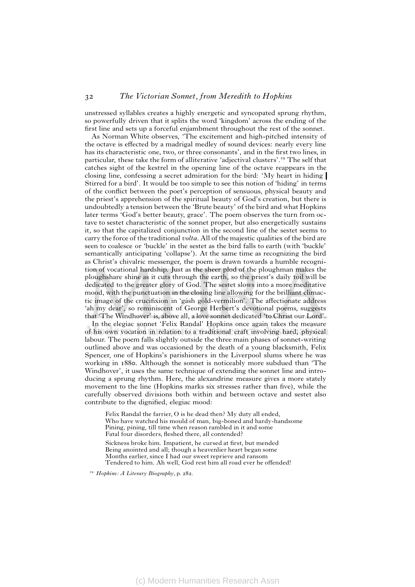unstressed syllables creates a highly energetic and syncopated sprung rhythm, so powerfully driven that it splits the word 'kingdom' across the ending of the first line and sets up a forceful enjambment throughout the rest of the sonnet.

As Norman White observes, 'The excitement and high-pitched intensity of the octave is effected by a madrigal medley of sound devices: nearly every line has its characteristic one, two, or three consonants', and in the first two lines, in particular, these take the form of alliterative 'adjectival clusters'.<sup>19</sup> The self that catches sight of the kestrel in the opening line of the octave reappears in the closing line, confessing a secret admiration for the bird: 'My heart in hiding Stirred for a bird'. It would be too simple to see this notion of 'hiding' in terms of the conflict between the poet's perception of sensuous, physical beauty and the priest's apprehension of the spiritual beauty of God's creation, but there is undoubtedly a tension between the 'Brute beauty' of the bird and what Hopkins later terms 'God's better beauty, grace'. The poem observes the turn from octave to sestet characteristic of the sonnet proper, but also energetically sustains it, so that the capitalized conjunction in the second line of the sestet seems to carry the force of the traditional *volta*. All of the majestic qualities of the bird are seen to coalesce or 'buckle' in the sestet as the bird falls to earth (with 'buckle' semantically anticipating 'collapse'). At the same time as recognizing the bird as Christ's chivalric messenger, the poem is drawn towards a humble recognition of vocational hardship. Just as the sheer plod of the ploughman makes the ploughshare shine as it cuts through the earth, so the priest's daily toil will be dedicated to the greater glory of God. The sestet slows into a more meditative mood, with the punctuation in the closing line allowing for the brilliant climactic image of the crucifixion in 'gásh góld-vermílion'. The affectionate address 'ah my dear', so reminiscent of George Herbert's devotional poems, suggests that 'The Windhover' is, above all, a love sonnet dedicated 'to Christ our Lord'.

In the elegiac sonnet 'Felix Randal' Hopkins once again takes the measure of his own vocation in relation to a traditional craft involving hard, physical labour. The poem falls slightly outside the three main phases of sonnet-writing outlined above and was occasioned by the death of a young blacksmith, Felix Spencer, one of Hopkins's parishioners in the Liverpool slums where he was working in 1880. Although the sonnet is noticeably more subdued than 'The Windhover', it uses the same technique of extending the sonnet line and introducing a sprung rhythm. Here, the alexandrine measure gives a more stately movement to the line (Hopkins marks six stresses rather than five), while the carefully observed divisions both within and between octave and sestet also contribute to the dignified, elegiac mood:

Felix Randal the farrier, O is he dead then? My duty all ended, Who have watched his mould of man, big-boned and hardy-handsome Pining, pining, till time when reason rambled in it and some Fatal four disorders, fleshed there, all contended? Sickness broke him. Impatient, he cursed at first, but mended Being anointed and all; though a heavenlier heart began some

Months earlier, since I had our sweet reprieve and ransom Tendered to him. Ah well, God rest him all road ever he offended!

 *Hopkins: A Literary Biography*, p. 282.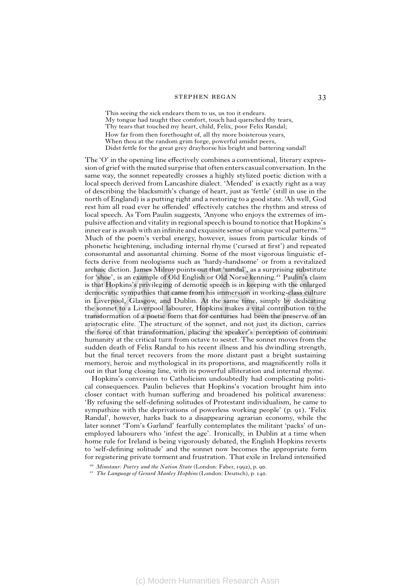#### STEPHEN REGAN 33

This seeing the sick endears them to us, us too it endears. My tongue had taught thee comfort, touch had quenched thy tears, Thy tears that touched my heart, child, Felix, poor Felix Randal; How far from then forethought of, all thy more boisterous years, When thou at the random grim forge, powerful amidst peers, Didst fettle for the great grey drayhorse his bright and battering sandal!

The 'O' in the opening line effectively combines a conventional, literary expression of grief with the muted surprise that often enters casual conversation. In the same way, the sonnet repeatedly crosses a highly stylized poetic diction with a local speech derived from Lancashire dialect. 'Mended' is exactly right as a way of describing the blacksmith's change of heart, just as 'fettle' (still in use in the north of England) is a putting right and a restoring to a good state. 'Ah well, God rest him all road ever he offended' effectively catches the rhythm and stress of local speech. As Tom Paulin suggests, 'Anyone who enjoys the extremes of impulsive affection and vitality in regional speech is bound to notice that Hopkins's inner ear is awash with an infinite and exquisite sense of unique vocal patterns.'<sup>20</sup> Much of the poem's verbal energy, however, issues from particular kinds of phonetic heightening, including internal rhyme ('cursed at first') and repeated consonantal and assonantal chiming. Some of the most vigorous linguistic effects derive from neologisms such as 'hardy-handsome' or from a revitalized archaic diction. James Milroy points out that 'sandal', as a surprising substitute for 'shoe', is an example of Old English or Old Norse kenning.<sup>21</sup> Paulin's claim is that Hopkins's privileging of demotic speech is in keeping with the enlarged democratic sympathies that came from his immersion in working-class culture in Liverpool, Glasgow, and Dublin. At the same time, simply by dedicating the sonnet to a Liverpool labourer, Hopkins makes a vital contribution to the transformation of a poetic form that for centuries had been the preserve of an aristocratic elite. The structure of the sonnet, and not just its diction, carries the force of that transformation, placing the speaker's perception of common humanity at the critical turn from octave to sestet. The sonnet moves from the sudden death of Felix Randal to his recent illness and his dwindling strength, but the final tercet recovers from the more distant past a bright sustaining memory, heroic and mythological in its proportions, and magnificently rolls it out in that long closing line, with its powerful alliteration and internal rhyme.

Hopkins's conversion to Catholicism undoubtedly had complicating political consequences. Paulin believes that Hopkins's vocation brought him into closer contact with human suffering and broadened his political awareness: 'By refusing the self-defining solitudes of Protestant individualism, he came to sympathize with the deprivations of powerless working people' (p. 91). 'Felix Randal', however, harks back to a disappearing agrarian economy, while the later sonnet 'Tom's Garland' fearfully contemplates the militant 'packs' of unemployed labourers who 'infest the age'. Ironically, in Dublin at a time when home rule for Ireland is being vigorously debated, the English Hopkins reverts to 'self-defining solitude' and the sonnet now becomes the appropriate form for registering private torment and frustration. That exile in Ireland intensified

<sup>-</sup> *Minotaur: Poetry and the Nation State* (London: Faber, 1992), p. 90.

<sup>-</sup> *The Language of Gerard Manley Hopkins* (London: Deutsch), p. 140.